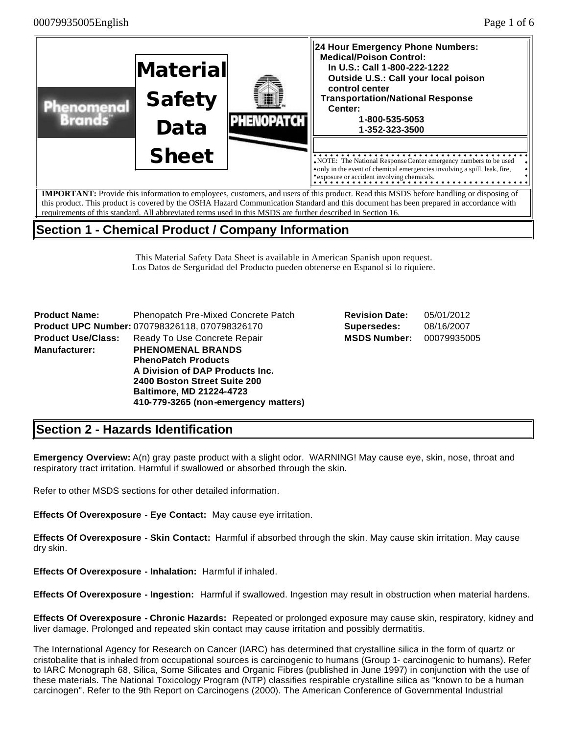

# **Section 1 - Chemical Product / Company Information**

This Material Safety Data Sheet is available in American Spanish upon request. Los Datos de Serguridad del Producto pueden obtenerse en Espanol si lo riquiere.

**Product Name:** Phenopatch Pre-Mixed Concrete Patch **Product UPC Number:** 070798326118, 070798326170 **Supersedes:** 08/16/2007 **Product Use/Class:** Ready To Use Concrete Repair **Manufacturer: PHENOMENAL BRANDS PhenoPatch Products A Division of DAP Products Inc. 2400 Boston Street Suite 200 Baltimore, MD 21224-4723 410-779-3265 (non-emergency matters)**

| <b>Revision Date:</b> | 05/01/2012  |
|-----------------------|-------------|
| Supersedes:           | 08/16/2007  |
| <b>MSDS Number:</b>   | 00079935005 |

## **Section 2 - Hazards Identification**

**Emergency Overview:** A(n) gray paste product with a slight odor. WARNING! May cause eye, skin, nose, throat and respiratory tract irritation. Harmful if swallowed or absorbed through the skin.

Refer to other MSDS sections for other detailed information.

**Effects Of Overexposure - Eye Contact:** May cause eye irritation.

**Effects Of Overexposure - Skin Contact:** Harmful if absorbed through the skin. May cause skin irritation. May cause dry skin.

**Effects Of Overexposure - Inhalation:** Harmful if inhaled.

**Effects Of Overexposure - Ingestion:** Harmful if swallowed. Ingestion may result in obstruction when material hardens.

**Effects Of Overexposure - Chronic Hazards:** Repeated or prolonged exposure may cause skin, respiratory, kidney and liver damage. Prolonged and repeated skin contact may cause irritation and possibly dermatitis.

The International Agency for Research on Cancer (IARC) has determined that crystalline silica in the form of quartz or cristobalite that is inhaled from occupational sources is carcinogenic to humans (Group 1- carcinogenic to humans). Refer to IARC Monograph 68, Silica, Some Silicates and Organic Fibres (published in June 1997) in conjunction with the use of these materials. The National Toxicology Program (NTP) classifies respirable crystalline silica as "known to be a human carcinogen". Refer to the 9th Report on Carcinogens (2000). The American Conference of Governmental Industrial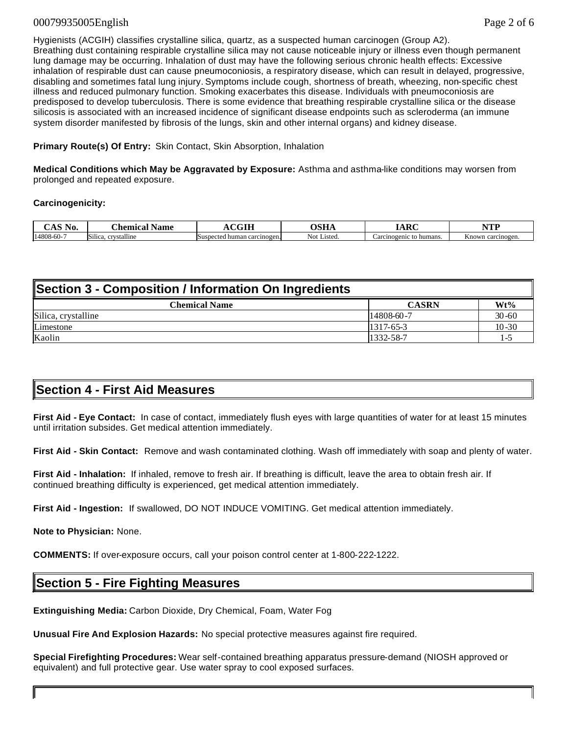#### 00079935005English Page 2 of 6

Hygienists (ACGIH) classifies crystalline silica, quartz, as a suspected human carcinogen (Group A2). Breathing dust containing respirable crystalline silica may not cause noticeable injury or illness even though permanent lung damage may be occurring. Inhalation of dust may have the following serious chronic health effects: Excessive inhalation of respirable dust can cause pneumoconiosis, a respiratory disease, which can result in delayed, progressive, disabling and sometimes fatal lung injury. Symptoms include cough, shortness of breath, wheezing, non-specific chest illness and reduced pulmonary function. Smoking exacerbates this disease. Individuals with pneumoconiosis are predisposed to develop tuberculosis. There is some evidence that breathing respirable crystalline silica or the disease silicosis is associated with an increased incidence of significant disease endpoints such as scleroderma (an immune system disorder manifested by fibrosis of the lungs, skin and other internal organs) and kidney disease.

#### **Primary Route(s) Of Entry:** Skin Contact, Skin Absorption, Inhalation

**Medical Conditions which May be Aggravated by Exposure:** Asthma and asthma-like conditions may worsen from prolonged and repeated exposure.

#### **Carcinogenicity:**

| No.        | Aemica'<br>vame                          | $\alpha$ $\alpha$ th             | лстт           | $\mathbf{D}$            | ATTEL<br>.             |
|------------|------------------------------------------|----------------------------------|----------------|-------------------------|------------------------|
| 14808-60-7 | Silica.<br>:vstalline<br>$\alpha$ rszetc | i human carcinogen.<br>Suspected | ∟isted.<br>Not | Carcinogenic to humans. | Know'<br>i carcinogen. |

### **Section 3 - Composition / Information On Ingredients**

| <b>Chemical Name</b> | <b>CASRN</b> | Wt%          |
|----------------------|--------------|--------------|
| Silica, crystalline  | 14808-60-7   | $30 - 60$    |
| Limestone            | 1317-65-3    | $10 - 30$    |
| Kaolin               | 1332-58-7    | $\mathbf{1}$ |

### **Section 4 - First Aid Measures**

**First Aid - Eye Contact:** In case of contact, immediately flush eyes with large quantities of water for at least 15 minutes until irritation subsides. Get medical attention immediately.

**First Aid - Skin Contact:** Remove and wash contaminated clothing. Wash off immediately with soap and plenty of water.

**First Aid - Inhalation:** If inhaled, remove to fresh air. If breathing is difficult, leave the area to obtain fresh air. If continued breathing difficulty is experienced, get medical attention immediately.

**First Aid - Ingestion:** If swallowed, DO NOT INDUCE VOMITING. Get medical attention immediately.

**Note to Physician:** None.

**COMMENTS:** If over-exposure occurs, call your poison control center at 1-800-222-1222.

### **Section 5 - Fire Fighting Measures**

**Extinguishing Media:** Carbon Dioxide, Dry Chemical, Foam, Water Fog

**Unusual Fire And Explosion Hazards:** No special protective measures against fire required.

**Special Firefighting Procedures:** Wear self-contained breathing apparatus pressure-demand (NIOSH approved or equivalent) and full protective gear. Use water spray to cool exposed surfaces.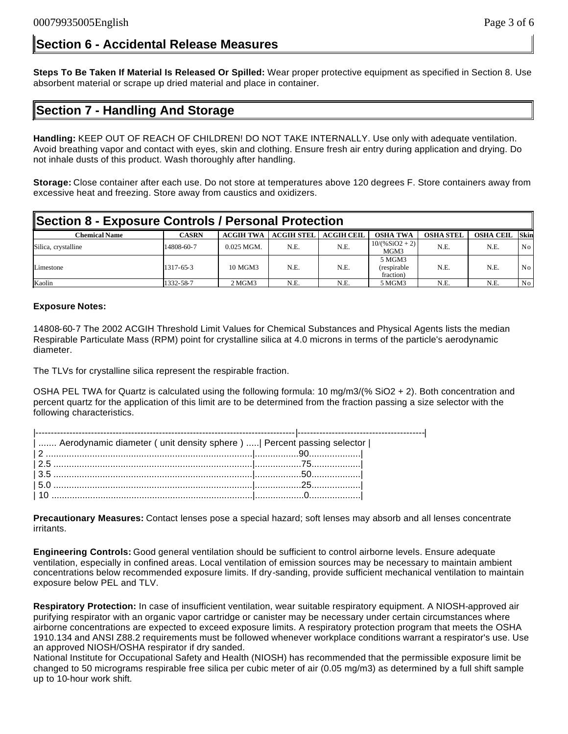### **Section 6 - Accidental Release Measures**

**Steps To Be Taken If Material Is Released Or Spilled:** Wear proper protective equipment as specified in Section 8. Use absorbent material or scrape up dried material and place in container.

## **Section 7 - Handling And Storage**

**Handling:** KEEP OUT OF REACH OF CHILDREN! DO NOT TAKE INTERNALLY. Use only with adequate ventilation. Avoid breathing vapor and contact with eyes, skin and clothing. Ensure fresh air entry during application and drying. Do not inhale dusts of this product. Wash thoroughly after handling.

**Storage:** Close container after each use. Do not store at temperatures above 120 degrees F. Store containers away from excessive heat and freezing. Store away from caustics and oxidizers.

| Section 8 - Exposure Controls / Personal Protection |              |                  |                   |                   |                                    |                  |                  |             |
|-----------------------------------------------------|--------------|------------------|-------------------|-------------------|------------------------------------|------------------|------------------|-------------|
| <b>Chemical Name</b>                                | <b>CASRN</b> | <b>ACGIH TWA</b> | <b>ACGIH STEL</b> | <b>ACGIH CEIL</b> | <b>OSHA TWA</b>                    | <b>OSHA STEL</b> | <b>OSHA CEIL</b> | <b>Skin</b> |
| Silica, crystalline                                 | 14808-60-7   | $0.025$ MGM.     | N.E.              | N.E.              | $10/(%SiO2 + 2)$<br>MGM3           | N.E.             | N.E.             | No          |
| Limestone                                           | 1317-65-3    | 10 MGM3          | N.E.              | N.E.              | 5 MGM3<br>(respirable<br>fraction) | N.E.             | N.E.             | No          |
| Kaolin                                              | 1332-58-7    | $2M$ MGM $31$    | N.E.              | N.E.              | 5 MGM3                             | N.E.             | N.E.             | No          |

#### **Exposure Notes:**

14808-60-7 The 2002 ACGIH Threshold Limit Values for Chemical Substances and Physical Agents lists the median Respirable Particulate Mass (RPM) point for crystalline silica at 4.0 microns in terms of the particle's aerodynamic diameter.

The TLVs for crystalline silica represent the respirable fraction.

OSHA PEL TWA for Quartz is calculated using the following formula: 10 mg/m3/(% SiO2 + 2). Both concentration and percent quartz for the application of this limit are to be determined from the fraction passing a size selector with the following characteristics.

| Aerodynamic diameter ( unit density sphere )   Percent passing selector |  |
|-------------------------------------------------------------------------|--|
|                                                                         |  |
|                                                                         |  |
|                                                                         |  |
|                                                                         |  |
|                                                                         |  |

**Precautionary Measures:** Contact lenses pose a special hazard; soft lenses may absorb and all lenses concentrate irritants.

**Engineering Controls:** Good general ventilation should be sufficient to control airborne levels. Ensure adequate ventilation, especially in confined areas. Local ventilation of emission sources may be necessary to maintain ambient concentrations below recommended exposure limits. If dry-sanding, provide sufficient mechanical ventilation to maintain exposure below PEL and TLV.

**Respiratory Protection:** In case of insufficient ventilation, wear suitable respiratory equipment. A NIOSH-approved air purifying respirator with an organic vapor cartridge or canister may be necessary under certain circumstances where airborne concentrations are expected to exceed exposure limits. A respiratory protection program that meets the OSHA 1910.134 and ANSI Z88.2 requirements must be followed whenever workplace conditions warrant a respirator's use. Use an approved NIOSH/OSHA respirator if dry sanded.

National Institute for Occupational Safety and Health (NIOSH) has recommended that the permissible exposure limit be changed to 50 micrograms respirable free silica per cubic meter of air (0.05 mg/m3) as determined by a full shift sample up to 10-hour work shift.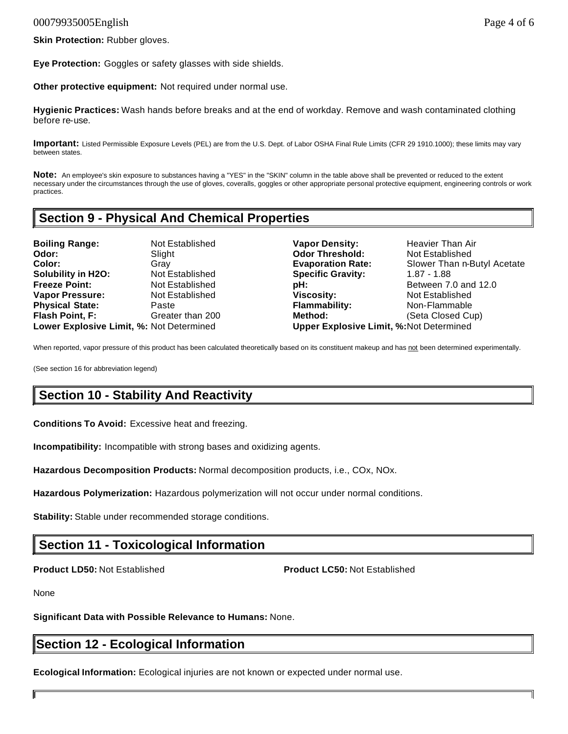**Skin Protection:** Rubber gloves.

**Eye Protection:** Goggles or safety glasses with side shields.

**Other protective equipment:** Not required under normal use.

**Hygienic Practices:** Wash hands before breaks and at the end of workday. Remove and wash contaminated clothing before re-use.

**Important:** Listed Permissible Exposure Levels (PEL) are from the U.S. Dept. of Labor OSHA Final Rule Limits (CFR 29 1910.1000); these limits may vary between states.

**Note:** An employee's skin exposure to substances having a "YES" in the "SKIN" column in the table above shall be prevented or reduced to the extent necessary under the circumstances through the use of gloves, coveralls, goggles or other appropriate personal protective equipment, engineering controls or work practices.

## **Section 9 - Physical And Chemical Properties**

**Boiling Range:** Not Established **Vapor Density:** Heavier Than Air **Odor: Slight Subset Codor Threshold:** Not Established **Color: Evaporation Rate:** Slower Than n-Butyl Acetate **Gray Gray Evaporation Rate:** Slower Than n-Butyl Acetate **Solubility in H2O:** Not Established **Specific Gravity:** 1.87 - 1.88<br> **Freeze Point:** Not Established **pH:** Between 7. **Freeze Point:** Not Established **pH: Between 7.0 and 12.0 Vapor Pressure: Not Established <b>Viscosity:** Not Established **Viscosity**: Not Established **Physical State:** Paste **Flammability:** Non-Flammable **Flash Point, F:** Greater than 200 **Method:** (Seta Closed Cup) **Lower Explosive Limit, %:** Not Determined **Upper Explosive Limit, %:**Not Determined

When reported, vapor pressure of this product has been calculated theoretically based on its constituent makeup and has not been determined experimentally.

(See section 16 for abbreviation legend)

## **Section 10 - Stability And Reactivity**

**Conditions To Avoid:** Excessive heat and freezing.

**Incompatibility:** Incompatible with strong bases and oxidizing agents.

**Hazardous Decomposition Products:** Normal decomposition products, i.e., COx, NOx.

**Hazardous Polymerization:** Hazardous polymerization will not occur under normal conditions.

**Stability:** Stable under recommended storage conditions.

## **Section 11 - Toxicological Information**

**Product LD50:** Not Established **Product LC50:** Not Established

None

**Significant Data with Possible Relevance to Humans:** None.

### **Section 12 - Ecological Information**

**Ecological Information:** Ecological injuries are not known or expected under normal use.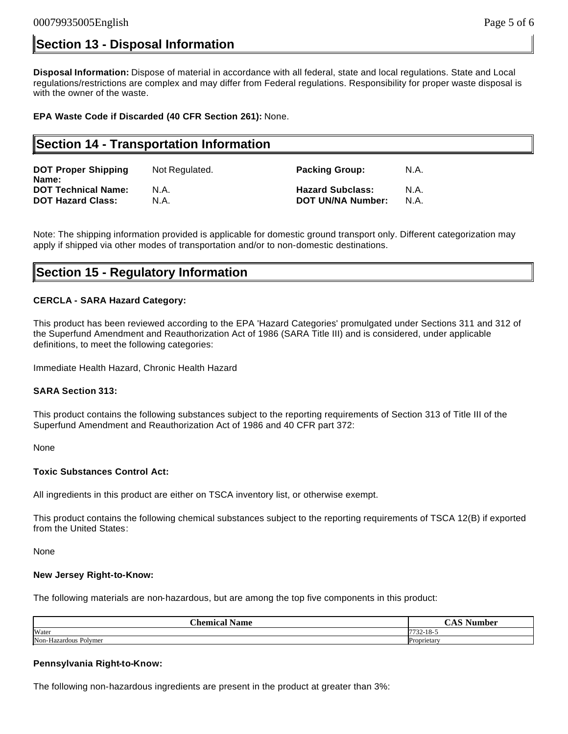## **Section 13 - Disposal Information**

**Disposal Information:** Dispose of material in accordance with all federal, state and local regulations. State and Local regulations/restrictions are complex and may differ from Federal regulations. Responsibility for proper waste disposal is with the owner of the waste.

**EPA Waste Code if Discarded (40 CFR Section 261):** None.

## **Section 14 - Transportation Information**

| <b>DOT Proper Shipping</b><br>Name: | Not Regulated. | <b>Packing Group:</b>   | N.A. |
|-------------------------------------|----------------|-------------------------|------|
| <b>DOT Technical Name:</b>          | N.A.           | <b>Hazard Subclass:</b> | N.A. |
| <b>DOT Hazard Class:</b>            | N.A.           | DOT UN/NA Number:       | N.A. |

Note: The shipping information provided is applicable for domestic ground transport only. Different categorization may apply if shipped via other modes of transportation and/or to non-domestic destinations.

### **Section 15 - Regulatory Information**

#### **CERCLA - SARA Hazard Category:**

This product has been reviewed according to the EPA 'Hazard Categories' promulgated under Sections 311 and 312 of the Superfund Amendment and Reauthorization Act of 1986 (SARA Title III) and is considered, under applicable definitions, to meet the following categories:

Immediate Health Hazard, Chronic Health Hazard

#### **SARA Section 313:**

This product contains the following substances subject to the reporting requirements of Section 313 of Title III of the Superfund Amendment and Reauthorization Act of 1986 and 40 CFR part 372:

None

#### **Toxic Substances Control Act:**

All ingredients in this product are either on TSCA inventory list, or otherwise exempt.

This product contains the following chemical substances subject to the reporting requirements of TSCA 12(B) if exported from the United States:

None

#### **New Jersey Right-to-Know:**

The following materials are non-hazardous, but are among the top five components in this product:

| $\sim$<br>`hemica<br>⊾nmo<br>уаше | $\sim$<br>-<br>$\sim$ $\sim$ $\sim$ |
|-----------------------------------|-------------------------------------|
| Water                             | 772210<br>$22 - 10$                 |
| Non-Hazardous Polymer             | Proprietary                         |

#### **Pennsylvania Right-to-Know:**

The following non-hazardous ingredients are present in the product at greater than 3%: